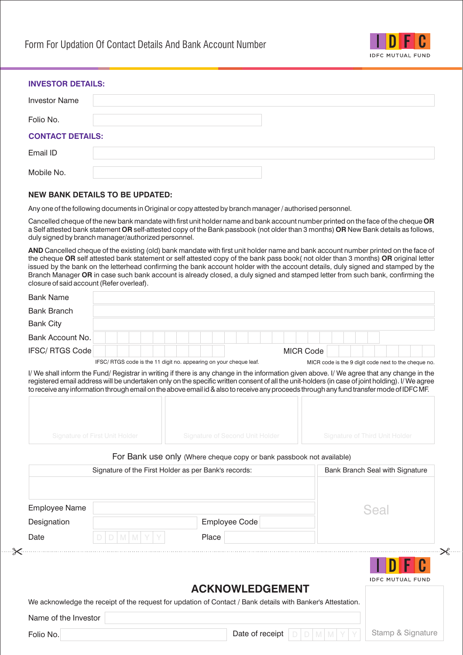

 $\mathcal{R}$  ....

## **INVESTOR DETAILS:**

 $-8$ 

| <b>Investor Name</b>    |  |
|-------------------------|--|
| Folio No.               |  |
| <b>CONTACT DETAILS:</b> |  |
| Email ID                |  |
| Mobile No.              |  |

## **NEW BANK DETAILS TO BE UPDATED:**

Any one of the following documents in Original or copy attested by branch manager / authorised personnel.

Cancelled cheque of the new bank mandate with first unit holder name and bank account number printed on the face of the cheque **OR**  a Self attested bank statement **OR** self-attested copy of the Bank passbook (not older than 3 months) **OR** New Bank details as follows, duly signed by branch manager/authorized personnel.

**AND** Cancelled cheque of the existing (old) bank mandate with first unit holder name and bank account number printed on the face of the cheque **OR** self attested bank statement or self attested copy of the bank pass book( not older than 3 months) **OR** original letter issued by the bank on the letterhead confirming the bank account holder with the account details, duly signed and stamped by the Branch Manager **OR** in case such bank account is already closed, a duly signed and stamped letter from such bank, confirming the closure of said account (Refer overleaf).

| <b>Bank Name</b>                                                                                                                                                                                                                                                                                                                                                                                                                            |   |   |   |  |  |  |       |                                                                      |  |                 |  |                  |  |  |      |                                       |  |                                                      |
|---------------------------------------------------------------------------------------------------------------------------------------------------------------------------------------------------------------------------------------------------------------------------------------------------------------------------------------------------------------------------------------------------------------------------------------------|---|---|---|--|--|--|-------|----------------------------------------------------------------------|--|-----------------|--|------------------|--|--|------|---------------------------------------|--|------------------------------------------------------|
| <b>Bank Branch</b>                                                                                                                                                                                                                                                                                                                                                                                                                          |   |   |   |  |  |  |       |                                                                      |  |                 |  |                  |  |  |      |                                       |  |                                                      |
| <b>Bank City</b>                                                                                                                                                                                                                                                                                                                                                                                                                            |   |   |   |  |  |  |       |                                                                      |  |                 |  |                  |  |  |      |                                       |  |                                                      |
| Bank Account No.                                                                                                                                                                                                                                                                                                                                                                                                                            |   |   |   |  |  |  |       |                                                                      |  |                 |  |                  |  |  |      |                                       |  |                                                      |
| IFSC/RTGS Code                                                                                                                                                                                                                                                                                                                                                                                                                              |   |   |   |  |  |  |       |                                                                      |  |                 |  | <b>MICR Code</b> |  |  |      |                                       |  |                                                      |
|                                                                                                                                                                                                                                                                                                                                                                                                                                             |   |   |   |  |  |  |       | IFSC/RTGS code is the 11 digit no. appearing on your cheque leaf.    |  |                 |  |                  |  |  |      |                                       |  | MICR code is the 9 digit code next to the cheque no. |
| I/ We shall inform the Fund/ Registrar in writing if there is any change in the information given above. I/ We agree that any change in the<br>registered email address will be undertaken only on the specific written consent of all the unit-holders (in case of joint holding). I/ We agree<br>to receive any information through email on the above email id & also to receive any proceeds through any fund transfer mode of IDFC MF. |   |   |   |  |  |  |       |                                                                      |  |                 |  |                  |  |  |      |                                       |  |                                                      |
|                                                                                                                                                                                                                                                                                                                                                                                                                                             |   |   |   |  |  |  |       |                                                                      |  |                 |  |                  |  |  |      |                                       |  |                                                      |
| <b>Signature of First Unit Holder</b>                                                                                                                                                                                                                                                                                                                                                                                                       |   |   |   |  |  |  |       | <b>Signature of Second Unit Holder</b>                               |  |                 |  |                  |  |  |      | <b>Signature of Third Unit Holder</b> |  |                                                      |
|                                                                                                                                                                                                                                                                                                                                                                                                                                             |   |   |   |  |  |  |       | For Bank use only (Where cheque copy or bank passbook not available) |  |                 |  |                  |  |  |      |                                       |  |                                                      |
|                                                                                                                                                                                                                                                                                                                                                                                                                                             |   |   |   |  |  |  |       | Signature of the First Holder as per Bank's records:                 |  |                 |  |                  |  |  |      | Bank Branch Seal with Signature       |  |                                                      |
|                                                                                                                                                                                                                                                                                                                                                                                                                                             |   |   |   |  |  |  |       |                                                                      |  |                 |  |                  |  |  |      |                                       |  |                                                      |
| <b>Employee Name</b>                                                                                                                                                                                                                                                                                                                                                                                                                        |   |   |   |  |  |  |       |                                                                      |  |                 |  |                  |  |  | Seal |                                       |  |                                                      |
| Designation                                                                                                                                                                                                                                                                                                                                                                                                                                 |   |   |   |  |  |  |       | <b>Employee Code</b>                                                 |  |                 |  |                  |  |  |      |                                       |  |                                                      |
| Date                                                                                                                                                                                                                                                                                                                                                                                                                                        | D | M | M |  |  |  | Place |                                                                      |  |                 |  |                  |  |  |      |                                       |  |                                                      |
|                                                                                                                                                                                                                                                                                                                                                                                                                                             |   |   |   |  |  |  |       |                                                                      |  |                 |  |                  |  |  |      |                                       |  | IDFC MUTUAL FUND                                     |
|                                                                                                                                                                                                                                                                                                                                                                                                                                             |   |   |   |  |  |  |       | <b>ACKNOWLEDGEMENT</b>                                               |  |                 |  |                  |  |  |      |                                       |  |                                                      |
| We acknowledge the receipt of the request for updation of Contact / Bank details with Banker's Attestation.                                                                                                                                                                                                                                                                                                                                 |   |   |   |  |  |  |       |                                                                      |  |                 |  |                  |  |  |      |                                       |  |                                                      |
| Name of the Investor                                                                                                                                                                                                                                                                                                                                                                                                                        |   |   |   |  |  |  |       |                                                                      |  |                 |  |                  |  |  |      |                                       |  |                                                      |
| Folio No.                                                                                                                                                                                                                                                                                                                                                                                                                                   |   |   |   |  |  |  |       |                                                                      |  | Date of receipt |  |                  |  |  |      |                                       |  | Stamp & Signature                                    |